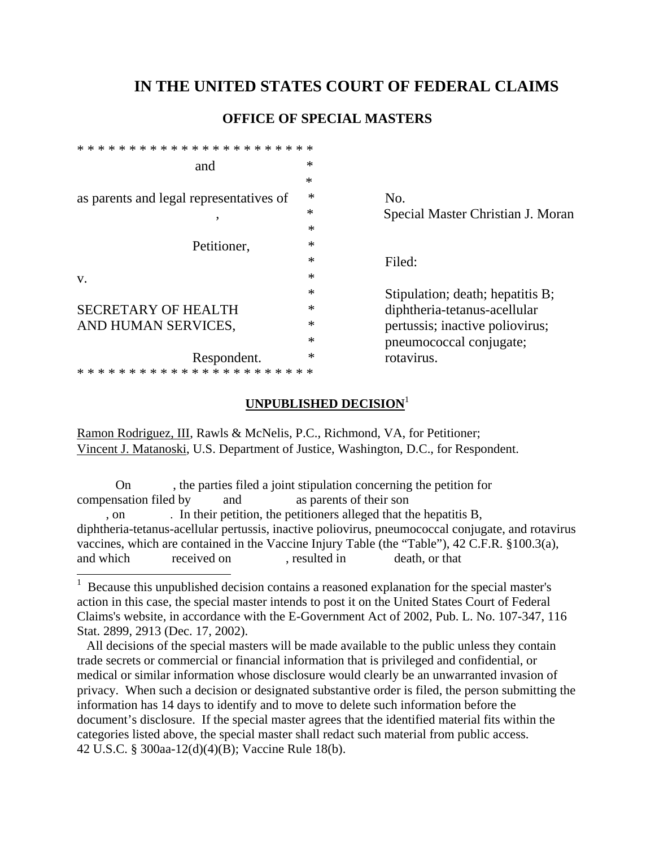## **IN THE UNITED STATES COURT OF FEDERAL CLAIMS**

## **OFFICE OF SPECIAL MASTERS**

| and                                     | $\ast$ |                                   |
|-----------------------------------------|--------|-----------------------------------|
|                                         | $\ast$ |                                   |
| as parents and legal representatives of | ∗      | N <sub>o</sub> .                  |
|                                         | ∗      | Special Master Christian J. Moran |
|                                         | $\ast$ |                                   |
| Petitioner,                             | $\ast$ |                                   |
|                                         | *      | Filed:                            |
| V.                                      | ∗      |                                   |
|                                         | ∗      | Stipulation; death; hepatitis B;  |
| <b>SECRETARY OF HEALTH</b>              | ∗      | diphtheria-tetanus-acellular      |
| AND HUMAN SERVICES,                     | ∗      | pertussis; inactive poliovirus;   |
|                                         | $\ast$ | pneumococcal conjugate;           |
| Respondent.                             | ∗      | rotavirus.                        |
|                                         |        |                                   |
|                                         |        |                                   |

## **UNPUBLISHED DECISION**<sup>1</sup>

Ramon Rodriguez, III, Rawls & McNelis, P.C., Richmond, VA, for Petitioner; Vincent J. Matanoski, U.S. Department of Justice, Washington, D.C., for Respondent.

 On , the parties filed a joint stipulation concerning the petition for compensation filed by and as parents of their son , on . In their petition, the petitioners alleged that the hepatitis B, diphtheria-tetanus-acellular pertussis, inactive poliovirus, pneumococcal conjugate, and rotavirus vaccines, which are contained in the Vaccine Injury Table (the "Table"), 42 C.F.R. §100.3(a), and which received on , resulted in death, or that

 All decisions of the special masters will be made available to the public unless they contain trade secrets or commercial or financial information that is privileged and confidential, or medical or similar information whose disclosure would clearly be an unwarranted invasion of privacy. When such a decision or designated substantive order is filed, the person submitting the information has 14 days to identify and to move to delete such information before the document's disclosure. If the special master agrees that the identified material fits within the categories listed above, the special master shall redact such material from public access. 42 U.S.C. § 300aa-12(d)(4)(B); Vaccine Rule 18(b).

<sup>&</sup>lt;sup>1</sup> Because this unpublished decision contains a reasoned explanation for the special master's action in this case, the special master intends to post it on the United States Court of Federal Claims's website, in accordance with the E-Government Act of 2002, Pub. L. No. 107-347, 116 Stat. 2899, 2913 (Dec. 17, 2002).